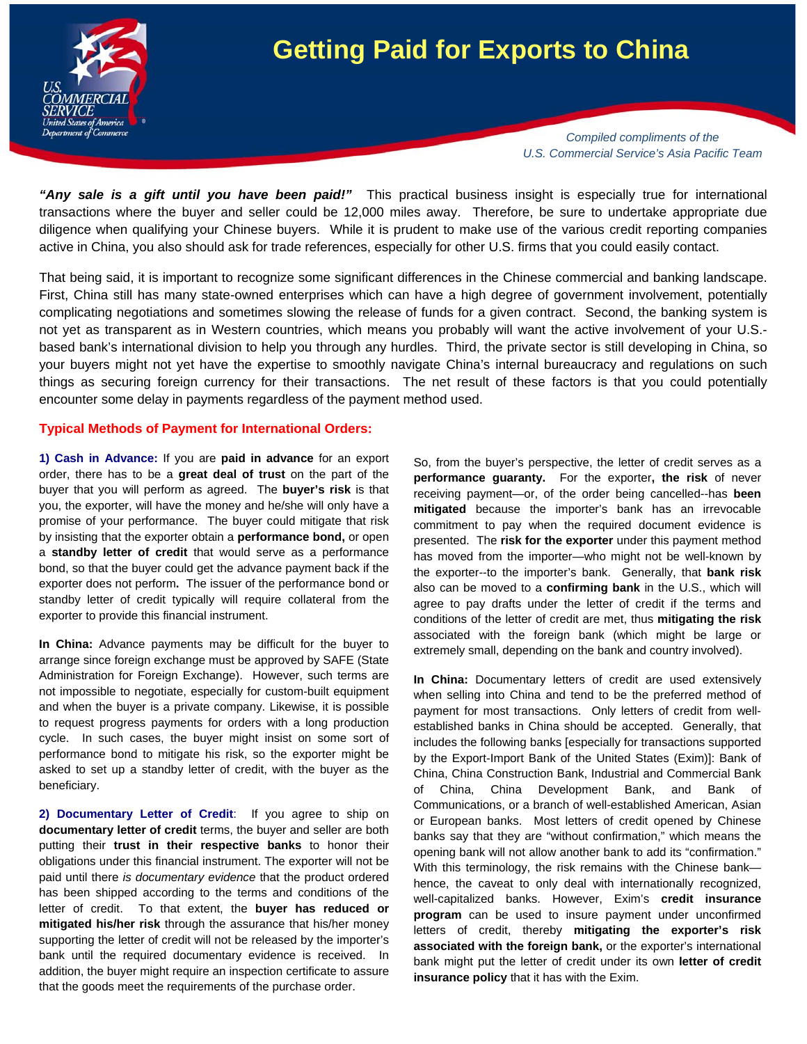

## **Getting Paid for Exports to China**

*Compiled compliments of the U.S. Commercial Service's Asia Pacific Team* 

*"Any sale is a gift until you have been paid!"* This practical business insight is especially true for international transactions where the buyer and seller could be 12,000 miles away. Therefore, be sure to undertake appropriate due diligence when qualifying your Chinese buyers. While it is prudent to make use of the various credit reporting companies active in China, you also should ask for trade references, especially for other U.S. firms that you could easily contact.

That being said, it is important to recognize some significant differences in the Chinese commercial and banking landscape. First, China still has many state-owned enterprises which can have a high degree of government involvement, potentially complicating negotiations and sometimes slowing the release of funds for a given contract. Second, the banking system is not yet as transparent as in Western countries, which means you probably will want the active involvement of your U.S. based bank's international division to help you through any hurdles. Third, the private sector is still developing in China, so your buyers might not yet have the expertise to smoothly navigate China's internal bureaucracy and regulations on such things as securing foreign currency for their transactions. The net result of these factors is that you could potentially encounter some delay in payments regardless of the payment method used.

## **Typical Methods of Payment for International Orders:**

**1) Cash in Advance:** If you are **paid in advance** for an export order, there has to be a **great deal of trust** on the part of the buyer that you will perform as agreed. The **buyer's risk** is that you, the exporter, will have the money and he/she will only have a promise of your performance. The buyer could mitigate that risk by insisting that the exporter obtain a **performance bond,** or open a **standby letter of credit** that would serve as a performance bond, so that the buyer could get the advance payment back if the exporter does not perform**.** The issuer of the performance bond or standby letter of credit typically will require collateral from the exporter to provide this financial instrument.

**In China:** Advance payments may be difficult for the buyer to arrange since foreign exchange must be approved by SAFE (State Administration for Foreign Exchange). However, such terms are not impossible to negotiate, especially for custom-built equipment and when the buyer is a private company. Likewise, it is possible to request progress payments for orders with a long production cycle. In such cases, the buyer might insist on some sort of performance bond to mitigate his risk, so the exporter might be asked to set up a standby letter of credit, with the buyer as the beneficiary.

**2) Documentary Letter of Credit**: If you agree to ship on **documentary letter of credit** terms, the buyer and seller are both putting their **trust in their respective banks** to honor their obligations under this financial instrument. The exporter will not be paid until there *is documentary evidence* that the product ordered has been shipped according to the terms and conditions of the letter of credit. To that extent, the **buyer has reduced or mitigated his/her risk** through the assurance that his/her money supporting the letter of credit will not be released by the importer's bank until the required documentary evidence is received. In addition, the buyer might require an inspection certificate to assure that the goods meet the requirements of the purchase order.

So, from the buyer's perspective, the letter of credit serves as a **performance guaranty.** For the exporter**, the risk** of never receiving payment—or, of the order being cancelled--has **been mitigated** because the importer's bank has an irrevocable commitment to pay when the required document evidence is presented. The **risk for the exporter** under this payment method has moved from the importer—who might not be well-known by the exporter--to the importer's bank. Generally, that **bank risk** also can be moved to a **confirming bank** in the U.S., which will agree to pay drafts under the letter of credit if the terms and conditions of the letter of credit are met, thus **mitigating the risk**  associated with the foreign bank (which might be large or extremely small, depending on the bank and country involved).

**In China:** Documentary letters of credit are used extensively when selling into China and tend to be the preferred method of payment for most transactions. Only letters of credit from wellestablished banks in China should be accepted. Generally, that includes the following banks [especially for transactions supported by the Export-Import Bank of the United States (Exim)]: Bank of China, China Construction Bank, Industrial and Commercial Bank of China, China Development Bank, and Bank of Communications, or a branch of well-established American, Asian or European banks. Most letters of credit opened by Chinese banks say that they are "without confirmation," which means the opening bank will not allow another bank to add its "confirmation." With this terminology, the risk remains with the Chinese bank hence, the caveat to only deal with internationally recognized, well-capitalized banks. However, Exim's **credit insurance program** can be used to insure payment under unconfirmed letters of credit, thereby **mitigating the exporter's risk associated with the foreign bank,** or the exporter's international bank might put the letter of credit under its own **letter of credit insurance policy** that it has with the Exim.